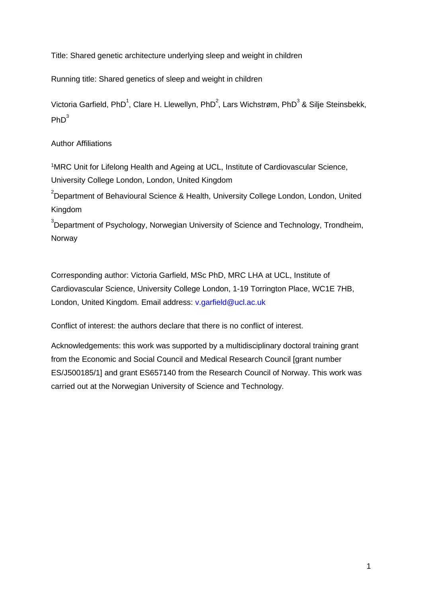Title: Shared genetic architecture underlying sleep and weight in children

Running title: Shared genetics of sleep and weight in children

Victoria Garfield, PhD<sup>1</sup>, Clare H. Llewellyn, PhD<sup>2</sup>, Lars Wichstrøm, PhD<sup>3</sup> & Silje Steinsbekk,  $PhD<sup>3</sup>$ 

Author Affiliations

<sup>1</sup>MRC Unit for Lifelong Health and Ageing at UCL, Institute of Cardiovascular Science, University College London, London, United Kingdom

 $2$ Department of Behavioural Science & Health, University College London, London, United Kingdom

 $3$ Department of Psychology, Norwegian University of Science and Technology, Trondheim, Norway

Corresponding author: Victoria Garfield, MSc PhD, MRC LHA at UCL, Institute of Cardiovascular Science, University College London, 1-19 Torrington Place, WC1E 7HB, London, United Kingdom. Email address: v.garfield@ucl.ac.uk

Conflict of interest: the authors declare that there is no conflict of interest.

Acknowledgements: this work was supported by a multidisciplinary doctoral training grant from the Economic and Social Council and Medical Research Council [grant number ES/J500185/1] and grant ES657140 from the Research Council of Norway. This work was carried out at the Norwegian University of Science and Technology.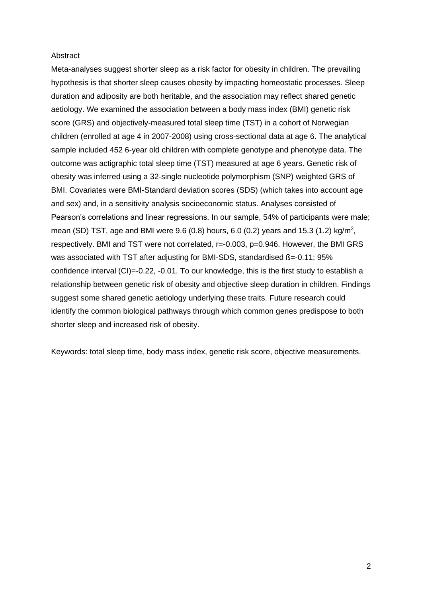### **Abstract**

Meta-analyses suggest shorter sleep as a risk factor for obesity in children. The prevailing hypothesis is that shorter sleep causes obesity by impacting homeostatic processes. Sleep duration and adiposity are both heritable, and the association may reflect shared genetic aetiology. We examined the association between a body mass index (BMI) genetic risk score (GRS) and objectively-measured total sleep time (TST) in a cohort of Norwegian children (enrolled at age 4 in 2007-2008) using cross-sectional data at age 6. The analytical sample included 452 6-year old children with complete genotype and phenotype data. The outcome was actigraphic total sleep time (TST) measured at age 6 years. Genetic risk of obesity was inferred using a 32-single nucleotide polymorphism (SNP) weighted GRS of BMI. Covariates were BMI-Standard deviation scores (SDS) (which takes into account age and sex) and, in a sensitivity analysis socioeconomic status. Analyses consisted of Pearson's correlations and linear regressions. In our sample, 54% of participants were male; mean (SD) TST, age and BMI were 9.6 (0.8) hours, 6.0 (0.2) years and 15.3 (1.2) kg/m<sup>2</sup> , respectively. BMI and TST were not correlated, r=-0.003, p=0.946. However, the BMI GRS was associated with TST after adjusting for BMI-SDS, standardised B=-0.11; 95% confidence interval (CI)=-0.22, -0.01. To our knowledge, this is the first study to establish a relationship between genetic risk of obesity and objective sleep duration in children. Findings suggest some shared genetic aetiology underlying these traits. Future research could identify the common biological pathways through which common genes predispose to both shorter sleep and increased risk of obesity.

Keywords: total sleep time, body mass index, genetic risk score, objective measurements.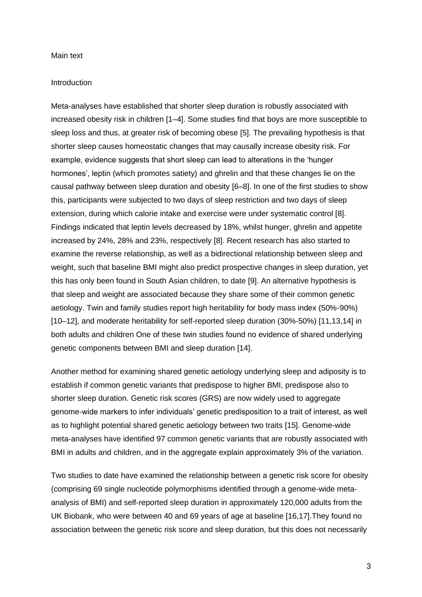#### Main text

### Introduction

Meta-analyses have established that shorter sleep duration is robustly associated with increased obesity risk in children [1–4]. Some studies find that boys are more susceptible to sleep loss and thus, at greater risk of becoming obese [5]. The prevailing hypothesis is that shorter sleep causes homeostatic changes that may causally increase obesity risk. For example, evidence suggests that short sleep can lead to alterations in the 'hunger hormones', leptin (which promotes satiety) and ghrelin and that these changes lie on the causal pathway between sleep duration and obesity [6–8]. In one of the first studies to show this, participants were subjected to two days of sleep restriction and two days of sleep extension, during which calorie intake and exercise were under systematic control [8]. Findings indicated that leptin levels decreased by 18%, whilst hunger, ghrelin and appetite increased by 24%, 28% and 23%, respectively [8]. Recent research has also started to examine the reverse relationship, as well as a bidirectional relationship between sleep and weight, such that baseline BMI might also predict prospective changes in sleep duration, yet this has only been found in South Asian children, to date [9]. An alternative hypothesis is that sleep and weight are associated because they share some of their common genetic aetiology. Twin and family studies report high heritability for body mass index (50%-90%) [10–12], and moderate heritability for self-reported sleep duration (30%-50%) [11,13,14] in both adults and children One of these twin studies found no evidence of shared underlying genetic components between BMI and sleep duration [14].

Another method for examining shared genetic aetiology underlying sleep and adiposity is to establish if common genetic variants that predispose to higher BMI, predispose also to shorter sleep duration. Genetic risk scores (GRS) are now widely used to aggregate genome-wide markers to infer individuals' genetic predisposition to a trait of interest, as well as to highlight potential shared genetic aetiology between two traits [15]. Genome-wide meta-analyses have identified 97 common genetic variants that are robustly associated with BMI in adults and children, and in the aggregate explain approximately 3% of the variation.

Two studies to date have examined the relationship between a genetic risk score for obesity (comprising 69 single nucleotide polymorphisms identified through a genome-wide metaanalysis of BMI) and self-reported sleep duration in approximately 120,000 adults from the UK Biobank, who were between 40 and 69 years of age at baseline [16,17].They found no association between the genetic risk score and sleep duration, but this does not necessarily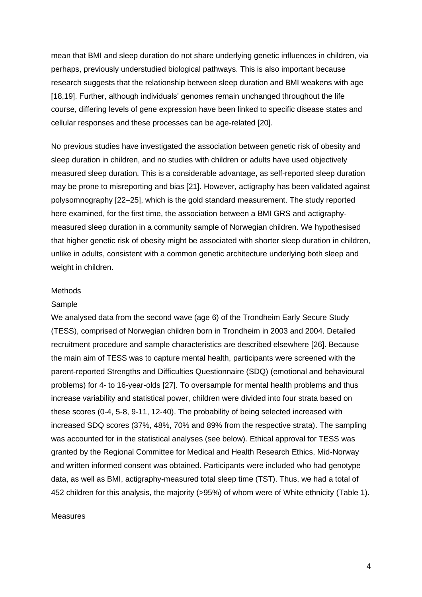mean that BMI and sleep duration do not share underlying genetic influences in children, via perhaps, previously understudied biological pathways. This is also important because research suggests that the relationship between sleep duration and BMI weakens with age [18,19]. Further, although individuals' genomes remain unchanged throughout the life course, differing levels of gene expression have been linked to specific disease states and cellular responses and these processes can be age-related [20].

No previous studies have investigated the association between genetic risk of obesity and sleep duration in children, and no studies with children or adults have used objectively measured sleep duration. This is a considerable advantage, as self-reported sleep duration may be prone to misreporting and bias [21]. However, actigraphy has been validated against polysomnography [22–25], which is the gold standard measurement. The study reported here examined, for the first time, the association between a BMI GRS and actigraphymeasured sleep duration in a community sample of Norwegian children. We hypothesised that higher genetic risk of obesity might be associated with shorter sleep duration in children, unlike in adults, consistent with a common genetic architecture underlying both sleep and weight in children.

#### **Methods**

#### Sample

We analysed data from the second wave (age 6) of the Trondheim Early Secure Study (TESS), comprised of Norwegian children born in Trondheim in 2003 and 2004. Detailed recruitment procedure and sample characteristics are described elsewhere [26]. Because the main aim of TESS was to capture mental health, participants were screened with the parent-reported Strengths and Difficulties Questionnaire (SDQ) (emotional and behavioural problems) for 4- to 16-year-olds [27]. To oversample for mental health problems and thus increase variability and statistical power, children were divided into four strata based on these scores (0-4, 5-8, 9-11, 12-40). The probability of being selected increased with increased SDQ scores (37%, 48%, 70% and 89% from the respective strata). The sampling was accounted for in the statistical analyses (see below). Ethical approval for TESS was granted by the Regional Committee for Medical and Health Research Ethics, Mid-Norway and written informed consent was obtained. Participants were included who had genotype data, as well as BMI, actigraphy-measured total sleep time (TST). Thus, we had a total of 452 children for this analysis, the majority (>95%) of whom were of White ethnicity (Table 1).

# Measures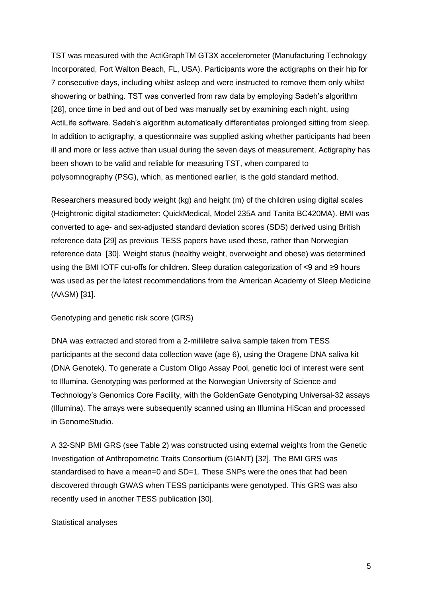TST was measured with the ActiGraphTM GT3X accelerometer (Manufacturing Technology Incorporated, Fort Walton Beach, FL, USA). Participants wore the actigraphs on their hip for 7 consecutive days, including whilst asleep and were instructed to remove them only whilst showering or bathing. TST was converted from raw data by employing Sadeh's algorithm [28], once time in bed and out of bed was manually set by examining each night, using ActiLife software. Sadeh's algorithm automatically differentiates prolonged sitting from sleep. In addition to actigraphy, a questionnaire was supplied asking whether participants had been ill and more or less active than usual during the seven days of measurement. Actigraphy has been shown to be valid and reliable for measuring TST, when compared to polysomnography (PSG), which, as mentioned earlier, is the gold standard method.

Researchers measured body weight (kg) and height (m) of the children using digital scales (Heightronic digital stadiometer: QuickMedical, Model 235A and Tanita BC420MA). BMI was converted to age- and sex-adjusted standard deviation scores (SDS) derived using British reference data [29] as previous TESS papers have used these, rather than Norwegian reference data [30]. Weight status (healthy weight, overweight and obese) was determined using the BMI IOTF cut-offs for children. Sleep duration categorization of <9 and ≥9 hours was used as per the latest recommendations from the American Academy of Sleep Medicine (AASM) [31].

Genotyping and genetic risk score (GRS)

DNA was extracted and stored from a 2-milliletre saliva sample taken from TESS participants at the second data collection wave (age 6), using the Oragene DNA saliva kit (DNA Genotek). To generate a Custom Oligo Assay Pool, genetic loci of interest were sent to Illumina. Genotyping was performed at the Norwegian University of Science and Technology's Genomics Core Facility, with the GoldenGate Genotyping Universal-32 assays (Illumina). The arrays were subsequently scanned using an Illumina HiScan and processed in GenomeStudio.

A 32-SNP BMI GRS (see Table 2) was constructed using external weights from the Genetic Investigation of Anthropometric Traits Consortium (GIANT) [32]. The BMI GRS was standardised to have a mean=0 and SD=1. These SNPs were the ones that had been discovered through GWAS when TESS participants were genotyped. This GRS was also recently used in another TESS publication [30].

# Statistical analyses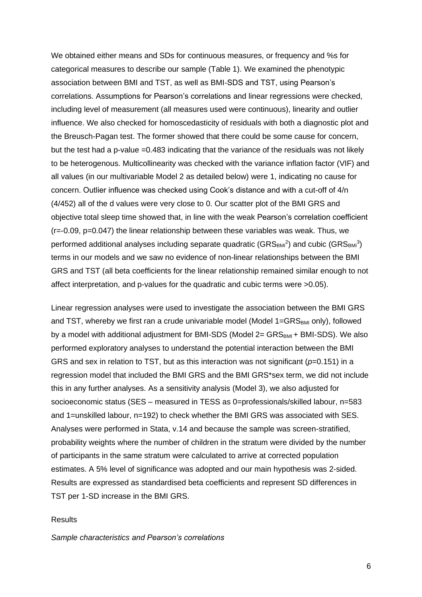We obtained either means and SDs for continuous measures, or frequency and %s for categorical measures to describe our sample (Table 1). We examined the phenotypic association between BMI and TST, as well as BMI-SDS and TST, using Pearson's correlations. Assumptions for Pearson's correlations and linear regressions were checked, including level of measurement (all measures used were continuous), linearity and outlier influence. We also checked for homoscedasticity of residuals with both a diagnostic plot and the Breusch-Pagan test. The former showed that there could be some cause for concern, but the test had a p-value =0.483 indicating that the variance of the residuals was not likely to be heterogenous. Multicollinearity was checked with the variance inflation factor (VIF) and all values (in our multivariable Model 2 as detailed below) were 1, indicating no cause for concern. Outlier influence was checked using Cook's distance and with a cut-off of 4/n (4/452) all of the d values were very close to 0. Our scatter plot of the BMI GRS and objective total sleep time showed that, in line with the weak Pearson's correlation coefficient (r=-0.09, p=0.047) the linear relationship between these variables was weak. Thus, we performed additional analyses including separate quadratic (GRS $_{\texttt{BM}}{}^{2}$ ) and cubic (GRS $_{\texttt{BM}}{}^{3}$ ) terms in our models and we saw no evidence of non-linear relationships between the BMI GRS and TST (all beta coefficients for the linear relationship remained similar enough to not affect interpretation, and p-values for the quadratic and cubic terms were >0.05).

Linear regression analyses were used to investigate the association between the BMI GRS and TST, whereby we first ran a crude univariable model (Model 1=GRSBMI only), followed by a model with additional adjustment for BMI-SDS (Model  $2=$  GRS $_{BM}$  + BMI-SDS). We also performed exploratory analyses to understand the potential interaction between the BMI GRS and sex in relation to TST, but as this interaction was not significant ( $p=0.151$ ) in a regression model that included the BMI GRS and the BMI GRS\*sex term, we did not include this in any further analyses. As a sensitivity analysis (Model 3), we also adjusted for socioeconomic status (SES – measured in TESS as 0=professionals/skilled labour, n=583 and 1=unskilled labour, n=192) to check whether the BMI GRS was associated with SES. Analyses were performed in Stata, v.14 and because the sample was screen-stratified, probability weights where the number of children in the stratum were divided by the number of participants in the same stratum were calculated to arrive at corrected population estimates. A 5% level of significance was adopted and our main hypothesis was 2-sided. Results are expressed as standardised beta coefficients and represent SD differences in TST per 1-SD increase in the BMI GRS.

# **Results**

*Sample characteristics and Pearson's correlations*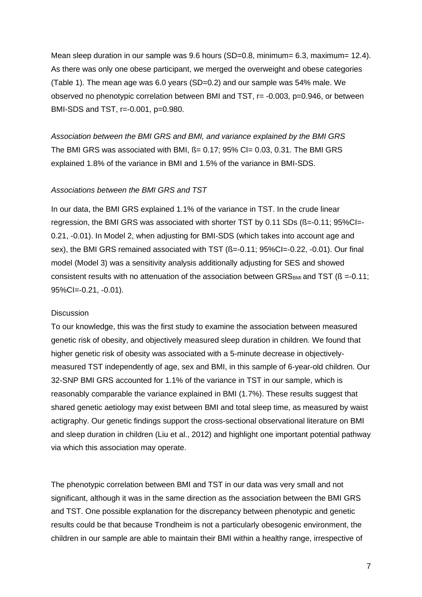Mean sleep duration in our sample was 9.6 hours (SD=0.8, minimum= 6.3, maximum= 12.4). As there was only one obese participant, we merged the overweight and obese categories (Table 1). The mean age was 6.0 years (SD=0.2) and our sample was 54% male. We observed no phenotypic correlation between BMI and TST, r= -0.003, p=0.946, or between BMI-SDS and TST, r=-0.001, p=0.980.

*Association between the BMI GRS and BMI, and variance explained by the BMI GRS*  The BMI GRS was associated with BMI, B= 0.17; 95% CI= 0.03, 0.31. The BMI GRS explained 1.8% of the variance in BMI and 1.5% of the variance in BMI-SDS.

# *Associations between the BMI GRS and TST*

In our data, the BMI GRS explained 1.1% of the variance in TST. In the crude linear regression, the BMI GRS was associated with shorter TST by 0.11 SDs ( $\beta = -0.11$ ; 95%Cl=-0.21, -0.01). In Model 2, when adjusting for BMI-SDS (which takes into account age and sex), the BMI GRS remained associated with TST (ß=-0.11; 95%CI=-0.22, -0.01). Our final model (Model 3) was a sensitivity analysis additionally adjusting for SES and showed consistent results with no attenuation of the association between GRS $_{BMI}$  and TST ( $\beta$  =-0.11; 95%CI=-0.21, -0.01).

#### **Discussion**

To our knowledge, this was the first study to examine the association between measured genetic risk of obesity, and objectively measured sleep duration in children. We found that higher genetic risk of obesity was associated with a 5-minute decrease in objectivelymeasured TST independently of age, sex and BMI, in this sample of 6-year-old children. Our 32-SNP BMI GRS accounted for 1.1% of the variance in TST in our sample, which is reasonably comparable the variance explained in BMI (1.7%). These results suggest that shared genetic aetiology may exist between BMI and total sleep time, as measured by waist actigraphy. Our genetic findings support the cross-sectional observational literature on BMI and sleep duration in children (Liu et al., 2012) and highlight one important potential pathway via which this association may operate.

The phenotypic correlation between BMI and TST in our data was very small and not significant, although it was in the same direction as the association between the BMI GRS and TST. One possible explanation for the discrepancy between phenotypic and genetic results could be that because Trondheim is not a particularly obesogenic environment, the children in our sample are able to maintain their BMI within a healthy range, irrespective of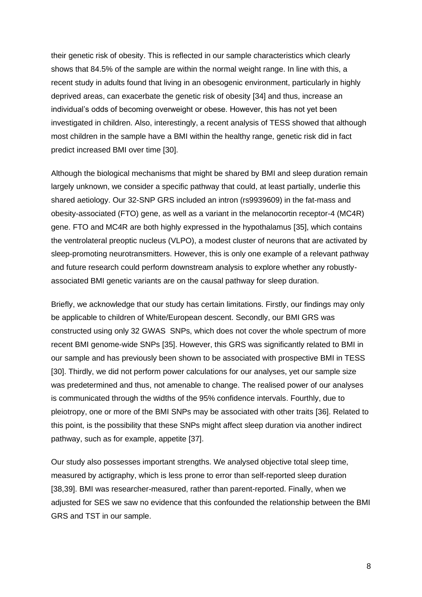their genetic risk of obesity. This is reflected in our sample characteristics which clearly shows that 84.5% of the sample are within the normal weight range. In line with this, a recent study in adults found that living in an obesogenic environment, particularly in highly deprived areas, can exacerbate the genetic risk of obesity [34] and thus, increase an individual's odds of becoming overweight or obese. However, this has not yet been investigated in children. Also, interestingly, a recent analysis of TESS showed that although most children in the sample have a BMI within the healthy range, genetic risk did in fact predict increased BMI over time [30].

Although the biological mechanisms that might be shared by BMI and sleep duration remain largely unknown, we consider a specific pathway that could, at least partially, underlie this shared aetiology. Our 32-SNP GRS included an intron (rs9939609) in the fat-mass and obesity-associated (FTO) gene, as well as a variant in the melanocortin receptor-4 (MC4R) gene. FTO and MC4R are both highly expressed in the hypothalamus [35], which contains the ventrolateral preoptic nucleus (VLPO), a modest cluster of neurons that are activated by sleep-promoting neurotransmitters. However, this is only one example of a relevant pathway and future research could perform downstream analysis to explore whether any robustlyassociated BMI genetic variants are on the causal pathway for sleep duration.

Briefly, we acknowledge that our study has certain limitations. Firstly, our findings may only be applicable to children of White/European descent. Secondly, our BMI GRS was constructed using only 32 GWAS SNPs, which does not cover the whole spectrum of more recent BMI genome-wide SNPs [35]. However, this GRS was significantly related to BMI in our sample and has previously been shown to be associated with prospective BMI in TESS [30]. Thirdly, we did not perform power calculations for our analyses, yet our sample size was predetermined and thus, not amenable to change. The realised power of our analyses is communicated through the widths of the 95% confidence intervals. Fourthly, due to pleiotropy, one or more of the BMI SNPs may be associated with other traits [36]. Related to this point, is the possibility that these SNPs might affect sleep duration via another indirect pathway, such as for example, appetite [37].

Our study also possesses important strengths. We analysed objective total sleep time, measured by actigraphy, which is less prone to error than self-reported sleep duration [38,39]. BMI was researcher-measured, rather than parent-reported. Finally, when we adjusted for SES we saw no evidence that this confounded the relationship between the BMI GRS and TST in our sample.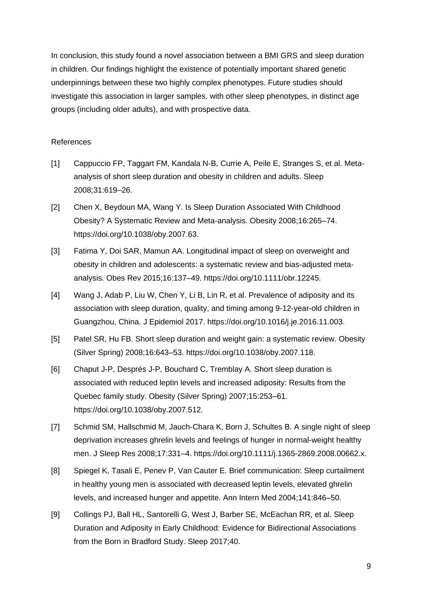In conclusion, this study found a novel association between a BMI GRS and sleep duration in children. Our findings highlight the existence of potentially important shared genetic underpinnings between these two highly complex phenotypes. Future studies should investigate this association in larger samples, with other sleep phenotypes, in distinct age groups (including older adults), and with prospective data.

# References

- [1] Cappuccio FP, Taggart FM, Kandala N-B, Currie A, Peile E, Stranges S, et al. Metaanalysis of short sleep duration and obesity in children and adults. Sleep 2008;31:619–26.
- [2] Chen X, Beydoun MA, Wang Y. Is Sleep Duration Associated With Childhood Obesity? A Systematic Review and Meta-analysis. Obesity 2008;16:265–74. https://doi.org/10.1038/oby.2007.63.
- [3] Fatima Y, Doi SAR, Mamun AA. Longitudinal impact of sleep on overweight and obesity in children and adolescents: a systematic review and bias-adjusted metaanalysis. Obes Rev 2015;16:137–49. https://doi.org/10.1111/obr.12245.
- [4] Wang J, Adab P, Liu W, Chen Y, Li B, Lin R, et al. Prevalence of adiposity and its association with sleep duration, quality, and timing among 9-12-year-old children in Guangzhou, China. J Epidemiol 2017. https://doi.org/10.1016/j.je.2016.11.003.
- [5] Patel SR, Hu FB. Short sleep duration and weight gain: a systematic review. Obesity (Silver Spring) 2008;16:643–53. https://doi.org/10.1038/oby.2007.118.
- [6] Chaput J-P, Després J-P, Bouchard C, Tremblay A. Short sleep duration is associated with reduced leptin levels and increased adiposity: Results from the Quebec family study. Obesity (Silver Spring) 2007;15:253–61. https://doi.org/10.1038/oby.2007.512.
- [7] Schmid SM, Hallschmid M, Jauch-Chara K, Born J, Schultes B. A single night of sleep deprivation increases ghrelin levels and feelings of hunger in normal-weight healthy men. J Sleep Res 2008;17:331–4. https://doi.org/10.1111/j.1365-2869.2008.00662.x.
- [8] Spiegel K, Tasali E, Penev P, Van Cauter E. Brief communication: Sleep curtailment in healthy young men is associated with decreased leptin levels, elevated ghrelin levels, and increased hunger and appetite. Ann Intern Med 2004;141:846–50.
- [9] Collings PJ, Ball HL, Santorelli G, West J, Barber SE, McEachan RR, et al. Sleep Duration and Adiposity in Early Childhood: Evidence for Bidirectional Associations from the Born in Bradford Study. Sleep 2017;40.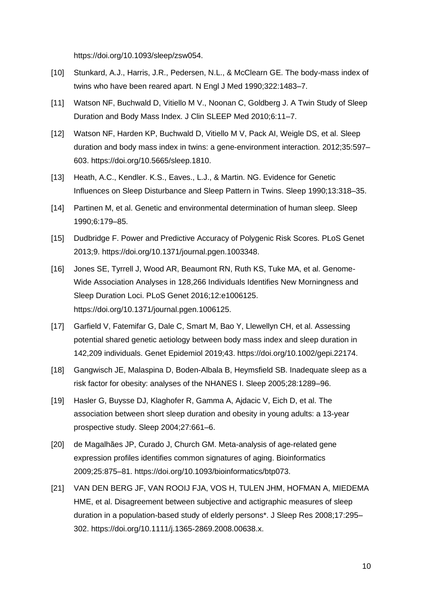https://doi.org/10.1093/sleep/zsw054.

- [10] Stunkard, A.J., Harris, J.R., Pedersen, N.L., & McClearn GE. The body-mass index of twins who have been reared apart. N Engl J Med 1990;322:1483–7.
- [11] Watson NF, Buchwald D, Vitiello M V., Noonan C, Goldberg J. A Twin Study of Sleep Duration and Body Mass Index. J Clin SLEEP Med 2010;6:11–7.
- [12] Watson NF, Harden KP, Buchwald D, Vitiello M V, Pack AI, Weigle DS, et al. Sleep duration and body mass index in twins: a gene-environment interaction. 2012;35:597– 603. https://doi.org/10.5665/sleep.1810.
- [13] Heath, A.C., Kendler. K.S., Eaves., L.J., & Martin. NG. Evidence for Genetic Influences on Sleep Disturbance and Sleep Pattern in Twins. Sleep 1990;13:318–35.
- [14] Partinen M, et al. Genetic and environmental determination of human sleep. Sleep 1990;6:179–85.
- [15] Dudbridge F. Power and Predictive Accuracy of Polygenic Risk Scores. PLoS Genet 2013;9. https://doi.org/10.1371/journal.pgen.1003348.
- [16] Jones SE, Tyrrell J, Wood AR, Beaumont RN, Ruth KS, Tuke MA, et al. Genome-Wide Association Analyses in 128,266 Individuals Identifies New Morningness and Sleep Duration Loci. PLoS Genet 2016;12:e1006125. https://doi.org/10.1371/journal.pgen.1006125.
- [17] Garfield V, Fatemifar G, Dale C, Smart M, Bao Y, Llewellyn CH, et al. Assessing potential shared genetic aetiology between body mass index and sleep duration in 142,209 individuals. Genet Epidemiol 2019;43. https://doi.org/10.1002/gepi.22174.
- [18] Gangwisch JE, Malaspina D, Boden-Albala B, Heymsfield SB. Inadequate sleep as a risk factor for obesity: analyses of the NHANES I. Sleep 2005;28:1289–96.
- [19] Hasler G, Buysse DJ, Klaghofer R, Gamma A, Ajdacic V, Eich D, et al. The association between short sleep duration and obesity in young adults: a 13-year prospective study. Sleep 2004;27:661–6.
- [20] de Magalhães JP, Curado J, Church GM. Meta-analysis of age-related gene expression profiles identifies common signatures of aging. Bioinformatics 2009;25:875–81. https://doi.org/10.1093/bioinformatics/btp073.
- [21] VAN DEN BERG JF, VAN ROOIJ FJA, VOS H, TULEN JHM, HOFMAN A, MIEDEMA HME, et al. Disagreement between subjective and actigraphic measures of sleep duration in a population-based study of elderly persons\*. J Sleep Res 2008;17:295– 302. https://doi.org/10.1111/j.1365-2869.2008.00638.x.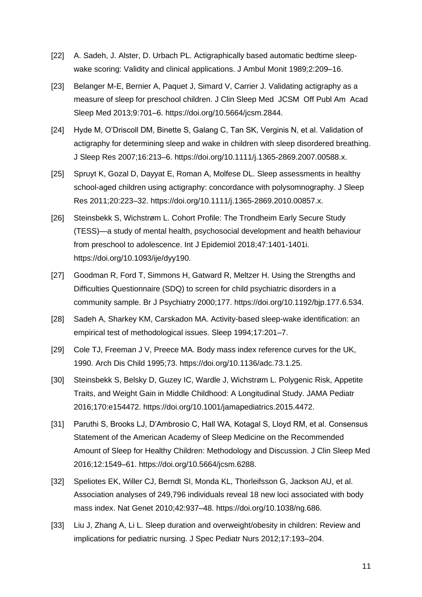- [22] A. Sadeh, J. Alster, D. Urbach PL. Actigraphically based automatic bedtime sleepwake scoring: Validity and clinical applications. J Ambul Monit 1989;2:209–16.
- [23] Belanger M-E, Bernier A, Paquet J, Simard V, Carrier J. Validating actigraphy as a measure of sleep for preschool children. J Clin Sleep Med JCSM Off Publ Am Acad Sleep Med 2013;9:701–6. https://doi.org/10.5664/jcsm.2844.
- [24] Hyde M, O'Driscoll DM, Binette S, Galang C, Tan SK, Verginis N, et al. Validation of actigraphy for determining sleep and wake in children with sleep disordered breathing. J Sleep Res 2007;16:213–6. https://doi.org/10.1111/j.1365-2869.2007.00588.x.
- [25] Spruyt K, Gozal D, Dayyat E, Roman A, Molfese DL. Sleep assessments in healthy school-aged children using actigraphy: concordance with polysomnography. J Sleep Res 2011;20:223–32. https://doi.org/10.1111/j.1365-2869.2010.00857.x.
- [26] Steinsbekk S, Wichstrøm L. Cohort Profile: The Trondheim Early Secure Study (TESS)—a study of mental health, psychosocial development and health behaviour from preschool to adolescence. Int J Epidemiol 2018;47:1401-1401i. https://doi.org/10.1093/ije/dyy190.
- [27] Goodman R, Ford T, Simmons H, Gatward R, Meltzer H. Using the Strengths and Difficulties Questionnaire (SDQ) to screen for child psychiatric disorders in a community sample. Br J Psychiatry 2000;177. https://doi.org/10.1192/bjp.177.6.534.
- [28] Sadeh A, Sharkey KM, Carskadon MA. Activity-based sleep-wake identification: an empirical test of methodological issues. Sleep 1994;17:201–7.
- [29] Cole TJ, Freeman J V, Preece MA. Body mass index reference curves for the UK, 1990. Arch Dis Child 1995;73. https://doi.org/10.1136/adc.73.1.25.
- [30] Steinsbekk S, Belsky D, Guzey IC, Wardle J, Wichstrøm L. Polygenic Risk, Appetite Traits, and Weight Gain in Middle Childhood: A Longitudinal Study. JAMA Pediatr 2016;170:e154472. https://doi.org/10.1001/jamapediatrics.2015.4472.
- [31] Paruthi S, Brooks LJ, D'Ambrosio C, Hall WA, Kotagal S, Lloyd RM, et al. Consensus Statement of the American Academy of Sleep Medicine on the Recommended Amount of Sleep for Healthy Children: Methodology and Discussion. J Clin Sleep Med 2016;12:1549–61. https://doi.org/10.5664/jcsm.6288.
- [32] Speliotes EK, Willer CJ, Berndt SI, Monda KL, Thorleifsson G, Jackson AU, et al. Association analyses of 249,796 individuals reveal 18 new loci associated with body mass index. Nat Genet 2010;42:937–48. https://doi.org/10.1038/ng.686.
- [33] Liu J, Zhang A, Li L. Sleep duration and overweight/obesity in children: Review and implications for pediatric nursing. J Spec Pediatr Nurs 2012;17:193–204.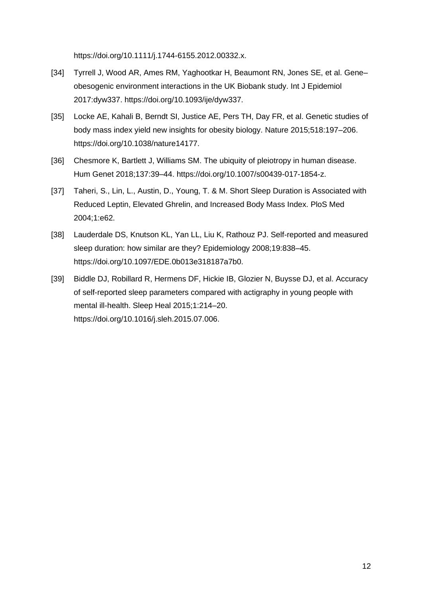https://doi.org/10.1111/j.1744-6155.2012.00332.x.

- [34] Tyrrell J, Wood AR, Ames RM, Yaghootkar H, Beaumont RN, Jones SE, et al. Gene– obesogenic environment interactions in the UK Biobank study. Int J Epidemiol 2017:dyw337. https://doi.org/10.1093/ije/dyw337.
- [35] Locke AE, Kahali B, Berndt SI, Justice AE, Pers TH, Day FR, et al. Genetic studies of body mass index yield new insights for obesity biology. Nature 2015;518:197–206. https://doi.org/10.1038/nature14177.
- [36] Chesmore K, Bartlett J, Williams SM. The ubiquity of pleiotropy in human disease. Hum Genet 2018;137:39–44. https://doi.org/10.1007/s00439-017-1854-z.
- [37] Taheri, S., Lin, L., Austin, D., Young, T. & M. Short Sleep Duration is Associated with Reduced Leptin, Elevated Ghrelin, and Increased Body Mass Index. PloS Med 2004;1:e62.
- [38] Lauderdale DS, Knutson KL, Yan LL, Liu K, Rathouz PJ. Self-reported and measured sleep duration: how similar are they? Epidemiology 2008;19:838–45. https://doi.org/10.1097/EDE.0b013e318187a7b0.
- [39] Biddle DJ, Robillard R, Hermens DF, Hickie IB, Glozier N, Buysse DJ, et al. Accuracy of self-reported sleep parameters compared with actigraphy in young people with mental ill-health. Sleep Heal 2015;1:214–20. https://doi.org/10.1016/j.sleh.2015.07.006.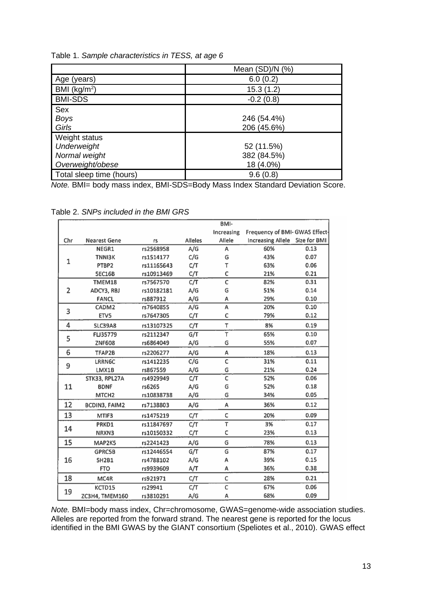|                          | Mean (SD)/N (%) |  |  |
|--------------------------|-----------------|--|--|
| Age (years)              | 6.0(0.2)        |  |  |
| BMI ( $kg/m2$ )          | 15.3 (1.2)      |  |  |
| <b>BMI-SDS</b>           | $-0.2(0.8)$     |  |  |
| Sex                      |                 |  |  |
| <b>Boys</b>              | 246 (54.4%)     |  |  |
| Girls                    | 206 (45.6%)     |  |  |
| Weight status            |                 |  |  |
| Underweight              | 52 (11.5%)      |  |  |
| Normal weight            | 382 (84.5%)     |  |  |
| Overweight/obese         | 18 (4.0%)       |  |  |
| Total sleep time (hours) | 9.6(0.8)        |  |  |

*Note.* BMI= body mass index, BMI-SDS=Body Mass Index Standard Deviation Score.

Table 2. *SNPs included in the BMI GRS* 

|     |                      |            |                | BMI-                    |                                |      |
|-----|----------------------|------------|----------------|-------------------------|--------------------------------|------|
|     |                      |            |                | Increasing              | Frequency of BMI- GWAS Effect- |      |
| Chr | <b>Nearest Gene</b>  | rs         | <b>Alleles</b> | Allele                  | Increasing Allele 5ize for BMI |      |
| 1   | NEGR1                | rs2568958  | A/G            | А                       | 60%                            | 0.13 |
|     | <b>TNNI3K</b>        | rs1514177  | C/G            | G                       | 43%                            | 0.07 |
|     | PTBP2                | rs11165643 | C/T            | T                       | 63%                            | 0.06 |
|     | <b>5EC16B</b>        | rs10913469 | C/T            | C                       | 21%                            | 0.21 |
| 2   | TMEM18               | rs7567570  | C/T            | C                       | 82%                            | 0.31 |
|     | ADCY3, RBJ           | rs10182181 | A/G            | G                       | 51%                            | 0.14 |
|     | <b>FANCL</b>         | rs887912   | A/G            | А                       | 29%                            | 0.10 |
| 3   | CADM2                | rs7640855  | A/G            | A                       | 20%                            | 0.10 |
|     | ETV5                 | rs7647305  | C/T            | C                       | 79%                            | 0.12 |
| 4   | <b>SLC39A8</b>       | rs13107325 | C/T            | T                       | 8%                             | 0.19 |
| 5   | FLJ35779             | rs2112347  | G/T            | T                       | 65%                            | 0.10 |
|     | <b>ZNF608</b>        | rs6864049  | A/G            | G                       | 55%                            | 0.07 |
| 6   | TFAP2B               | rs2206277  | A/G            | Α                       | 18%                            | 0.13 |
| 9   | LRRN6C               | rs1412235  | C/G            | $\overline{\mathsf{c}}$ | 31%                            | 0.11 |
|     | LMX1B                | rs867559   | A/G            | G                       | 21%                            | 0.24 |
| 11  | STK33, RPL27A        | rs4929949  | C/T            | $\overline{\mathsf{c}}$ | 52%                            | 0.06 |
|     | <b>BDNF</b>          | rs6265     | A/G            | G                       | 52%                            | 0.18 |
|     | MTCH <sub>2</sub>    | rs10838738 | A/G            | G                       | 34%                            | 0.05 |
| 12  | <b>BCDIN3, FAIM2</b> | rs7138803  | A/G            | A                       | 36%                            | 0.12 |
| 13  | MTIF3                | rs1475219  | C/T            | C                       | 20%                            | 0.09 |
| 14  | PRKD1                | rs11847697 | C/T            | $\overline{\mathsf{T}}$ | 3%                             | 0.17 |
|     | NRXN3                | rs10150332 | C/T            | C                       | 23%                            | 0.13 |
| 15  | MAP2K5               | rs2241423  | A/G            | G                       | 78%                            | 0.13 |
| 16  | <b>GPRC5B</b>        | rs12446554 | G/T            | $\overline{\mathsf{G}}$ | 87%                            | 0.17 |
|     | <b>5H2B1</b>         | rs4788102  | A/G            | A                       | 39%                            | 0.15 |
|     | <b>FTO</b>           | rs9939609  | A/T            | А                       | 36%                            | 0.38 |
| 18  | MC4R                 | rs921971   | C/T            | C                       | 28%                            | 0.21 |
| 19  | KCTD15               | rs29941    | C/T            | $\mathsf C$             | 67%                            | 0.06 |
|     | ZC3H4, TMEM160       | rs3810291  | A/G            | А                       | 68%                            | 0.09 |

*Note.* BMI=body mass index, Chr=chromosome, GWAS=genome-wide association studies. Alleles are reported from the forward strand. The nearest gene is reported for the locus identified in the BMI GWAS by the GIANT consortium (Speliotes et al., 2010). GWAS effect